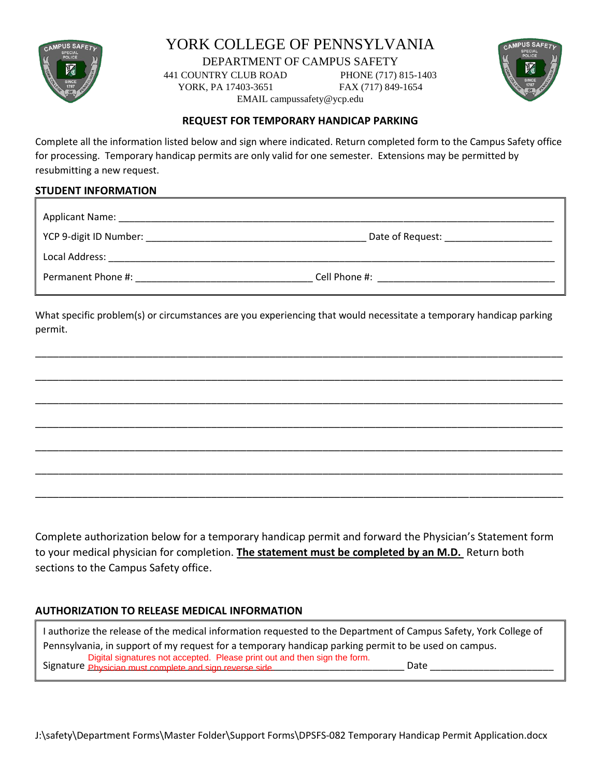

# YORK COLLEGE OF PENNSYLVANIA

DEPARTMENT OF CAMPUS SAFETY

441 COUNTRY CLUB ROAD PHONE (717) 815-1403

YORK, PA 17403-3651 FAX (717) 849-1654 EMAIL campussafety@ycp.edu



#### **REQUEST FOR TEMPORARY HANDICAP PARKING**

Complete all the information listed below and sign where indicated. Return completed form to the Campus Safety office for processing. Temporary handicap permits are only valid for one semester. Extensions may be permitted by resubmitting a new request.

#### **STUDENT INFORMATION**

| . .<br>Annlicant<br>: Name:<br>ֿ שו |  |
|-------------------------------------|--|

YCP 9-digit ID Number: \_\_\_\_\_\_\_\_\_\_\_\_\_\_\_\_\_\_\_\_\_\_\_\_\_\_\_\_\_\_\_\_\_\_\_\_\_\_\_\_\_ Date of Request: \_\_\_\_\_\_\_\_\_\_\_\_\_\_\_\_\_\_\_\_

Local Address: \_\_\_\_\_\_\_\_\_\_\_\_\_\_\_\_\_\_\_\_\_\_\_\_\_\_\_\_\_\_\_\_\_\_\_\_\_\_\_\_\_\_\_\_\_\_\_\_\_\_\_\_\_\_\_\_\_\_\_\_\_\_\_\_\_\_\_\_\_\_\_\_\_\_\_\_\_\_\_\_\_\_\_

Permanent Phone #:  $\hbox{Cell Phone}$  #:

What specific problem(s) or circumstances are you experiencing that would necessitate a temporary handicap parking permit.

\_\_\_\_\_\_\_\_\_\_\_\_\_\_\_\_\_\_\_\_\_\_\_\_\_\_\_\_\_\_\_\_\_\_\_\_\_\_\_\_\_\_\_\_\_\_\_\_\_\_\_\_\_\_\_\_\_\_\_\_\_\_\_\_\_\_\_\_\_\_\_\_\_\_\_\_\_\_\_\_\_\_\_\_\_\_\_\_\_\_

\_\_\_\_\_\_\_\_\_\_\_\_\_\_\_\_\_\_\_\_\_\_\_\_\_\_\_\_\_\_\_\_\_\_\_\_\_\_\_\_\_\_\_\_\_\_\_\_\_\_\_\_\_\_\_\_\_\_\_\_\_\_\_\_\_\_\_\_\_\_\_\_\_\_\_\_\_\_\_\_\_\_\_\_\_\_\_\_\_\_

\_\_\_\_\_\_\_\_\_\_\_\_\_\_\_\_\_\_\_\_\_\_\_\_\_\_\_\_\_\_\_\_\_\_\_\_\_\_\_\_\_\_\_\_\_\_\_\_\_\_\_\_\_\_\_\_\_\_\_\_\_\_\_\_\_\_\_\_\_\_\_\_\_\_\_\_\_\_\_\_\_\_\_\_\_\_\_\_\_\_

\_\_\_\_\_\_\_\_\_\_\_\_\_\_\_\_\_\_\_\_\_\_\_\_\_\_\_\_\_\_\_\_\_\_\_\_\_\_\_\_\_\_\_\_\_\_\_\_\_\_\_\_\_\_\_\_\_\_\_\_\_\_\_\_\_\_\_\_\_\_\_\_\_\_\_\_\_\_\_\_\_\_\_\_\_\_\_\_\_\_

\_\_\_\_\_\_\_\_\_\_\_\_\_\_\_\_\_\_\_\_\_\_\_\_\_\_\_\_\_\_\_\_\_\_\_\_\_\_\_\_\_\_\_\_\_\_\_\_\_\_\_\_\_\_\_\_\_\_\_\_\_\_\_\_\_\_\_\_\_\_\_\_\_\_\_\_\_\_\_\_\_\_\_\_\_\_\_\_\_\_

\_\_\_\_\_\_\_\_\_\_\_\_\_\_\_\_\_\_\_\_\_\_\_\_\_\_\_\_\_\_\_\_\_\_\_\_\_\_\_\_\_\_\_\_\_\_\_\_\_\_\_\_\_\_\_\_\_\_\_\_\_\_\_\_\_\_\_\_\_\_\_\_\_\_\_\_\_\_\_\_\_\_\_\_\_\_\_\_\_\_

\_\_\_\_\_\_\_\_\_\_\_\_\_\_\_\_\_\_\_\_\_\_\_\_\_\_\_\_\_\_\_\_\_\_\_\_\_\_\_\_\_\_\_\_\_\_\_\_\_\_\_\_\_\_\_\_\_\_\_\_\_\_\_\_\_\_\_\_\_\_\_\_\_\_\_\_\_\_\_\_\_\_\_\_\_\_\_\_\_\_

Complete authorization below for a temporary handicap permit and forward the Physician's Statement form to your medical physician for completion. **The statement must be completed by an M.D.** Return both sections to the Campus Safety office.

#### **AUTHORIZATION TO RELEASE MEDICAL INFORMATION**

I authorize the release of the medical information requested to the Department of Campus Safety, York College of Pennsylvania, in support of my request for a temporary handicap parking permit to be used on campus. Signature Physician must complete and sign reverse side. Digital signatures not accepted. Please print out and then sign the form.